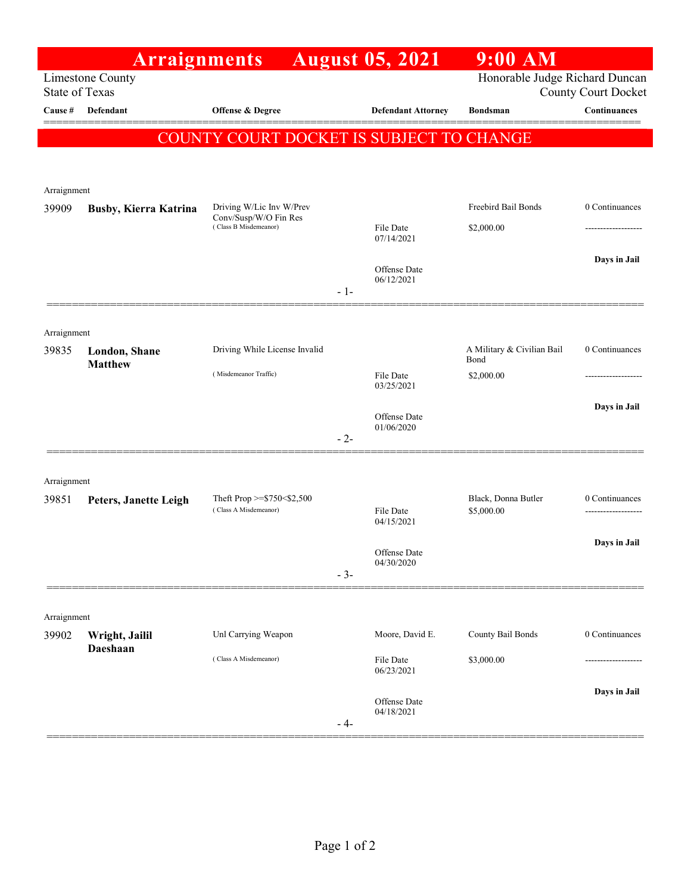|                       | <b>Arraignments</b>             |                                                                            |       | <b>August 05, 2021</b>     | $9:00$ AM                          |                |
|-----------------------|---------------------------------|----------------------------------------------------------------------------|-------|----------------------------|------------------------------------|----------------|
| <b>State of Texas</b> | Limestone County                | Honorable Judge Richard Duncan<br><b>County Court Docket</b>               |       |                            |                                    |                |
| Cause #               | Defendant                       | Offense & Degree                                                           |       | <b>Defendant Attorney</b>  | <b>Bondsman</b>                    | Continuances   |
|                       |                                 | COUNTY COURT DOCKET IS SUBJECT TO CHANGE                                   |       |                            |                                    |                |
| Arraignment           |                                 |                                                                            |       |                            |                                    |                |
| 39909                 | <b>Busby, Kierra Katrina</b>    | Driving W/Lic Inv W/Prev<br>Conv/Susp/W/O Fin Res<br>(Class B Misdemeanor) |       | File Date<br>07/14/2021    | Freebird Bail Bonds<br>\$2,000.00  | 0 Continuances |
|                       |                                 |                                                                            | $-1-$ | Offense Date<br>06/12/2021 |                                    | Days in Jail   |
| Arraignment           |                                 |                                                                            |       |                            |                                    | 0 Continuances |
| 39835                 | London, Shane<br><b>Matthew</b> | Driving While License Invalid                                              |       |                            | A Military & Civilian Bail<br>Bond |                |
|                       |                                 | (Misdemeanor Traffic)                                                      |       | File Date<br>03/25/2021    | \$2,000.00                         |                |
|                       |                                 |                                                                            | $-2-$ | Offense Date<br>01/06/2020 |                                    | Days in Jail   |
| Arraignment           |                                 |                                                                            |       |                            |                                    |                |
| 39851                 | Peters, Janette Leigh           | Theft Prop $>=$ \$750 < \$2,500<br>(Class A Misdemeanor)                   |       | File Date<br>04/15/2021    | Black, Donna Butler<br>\$5,000.00  | 0 Continuances |
|                       |                                 |                                                                            | $-3-$ | Offense Date<br>04/30/2020 |                                    | Days in Jail   |
| Arraignment           |                                 |                                                                            |       |                            |                                    |                |
| 39902                 | Wright, Jailil<br>Daeshaan      | Unl Carrying Weapon                                                        |       | Moore, David E.            | County Bail Bonds                  | 0 Continuances |
|                       |                                 | (Class A Misdemeanor)                                                      |       | File Date<br>06/23/2021    | \$3,000.00                         |                |
|                       |                                 |                                                                            | $-4-$ | Offense Date<br>04/18/2021 |                                    | Days in Jail   |